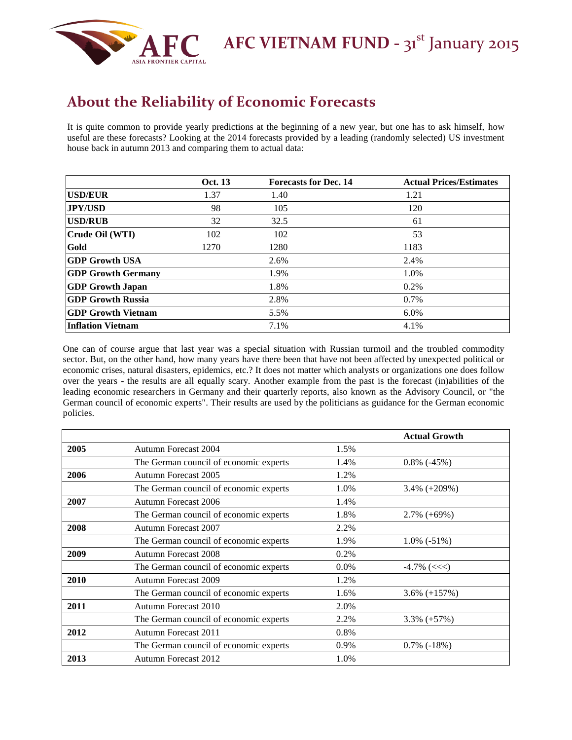

**AFC VIETNAM FUND** - 31<sup>st</sup> January 2015

## **About the Reliability of Economic Forecasts**

It is quite common to provide yearly predictions at the beginning of a new year, but one has to ask himself, how useful are these forecasts? Looking at the 2014 forecasts provided by a leading (randomly selected) US investment house back in autumn 2013 and comparing them to actual data:

|                            | <b>Oct.</b> 13 | <b>Forecasts for Dec. 14</b> | <b>Actual Prices/Estimates</b> |
|----------------------------|----------------|------------------------------|--------------------------------|
| <b>USD/EUR</b>             | 1.37           | 1.40                         | 1.21                           |
| <b>JPY/USD</b>             | 98             | 105                          | 120                            |
| <b>USD/RUB</b>             | 32             | 32.5                         | 61                             |
| Crude Oil (WTI)            | 102            | 102                          | 53                             |
| Gold                       | 1270           | 1280                         | 1183                           |
| <b>GDP Growth USA</b>      |                | 2.6%                         | 2.4%                           |
| <b>GDP Growth Germany</b>  |                | 1.9%                         | 1.0%                           |
| <b>GDP Growth Japan</b>    |                | 1.8%                         | 0.2%                           |
| GDP Growth Russia          |                | 2.8%                         | 0.7%                           |
| <b>IGDP Growth Vietnam</b> |                | 5.5%                         | $6.0\%$                        |
| Inflation Vietnam          |                | 7.1%                         | 4.1%                           |

One can of course argue that last year was a special situation with Russian turmoil and the troubled commodity sector. But, on the other hand, how many years have there been that have not been affected by unexpected political or economic crises, natural disasters, epidemics, etc.? It does not matter which analysts or organizations one does follow over the years - the results are all equally scary. Another example from the past is the forecast (in)abilities of the leading economic researchers in Germany and their quarterly reports, also known as the Advisory Council, or "the German council of economic experts". Their results are used by the politicians as guidance for the German economic policies.

|      |                                        |         | <b>Actual Growth</b> |
|------|----------------------------------------|---------|----------------------|
| 2005 | Autumn Forecast 2004                   | 1.5%    |                      |
|      | The German council of economic experts | 1.4%    | $0.8\%$ (-45%)       |
| 2006 | Autumn Forecast 2005                   | 1.2%    |                      |
|      | The German council of economic experts | 1.0%    | $3.4\% (+209\%)$     |
| 2007 | <b>Autumn Forecast 2006</b>            | 1.4%    |                      |
|      | The German council of economic experts | 1.8%    | $2.7\% (+69\%)$      |
| 2008 | Autumn Forecast 2007                   | 2.2%    |                      |
|      | The German council of economic experts | 1.9%    | $1.0\%$ (-51%)       |
| 2009 | <b>Autumn Forecast 2008</b>            | 0.2%    |                      |
|      | The German council of economic experts | $0.0\%$ | $-4.7\%$ (<<<)       |
| 2010 | Autumn Forecast 2009                   | 1.2%    |                      |
|      | The German council of economic experts | 1.6%    | $3.6\% (+157\%)$     |
| 2011 | Autumn Forecast 2010                   | 2.0%    |                      |
|      | The German council of economic experts | 2.2%    | $3.3\% (+57\%)$      |
| 2012 | Autumn Forecast 2011                   | 0.8%    |                      |
|      | The German council of economic experts | 0.9%    | $0.7\%$ (-18%)       |
| 2013 | <b>Autumn Forecast 2012</b>            | 1.0%    |                      |